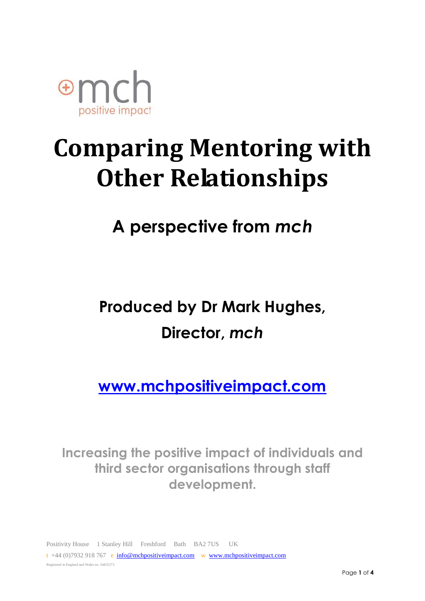

# **Comparing Mentoring with Other Relationships**

# **A perspective from** *mch*

# **Produced by Dr Mark Hughes, Director,** *mch*

**[www.mchpositiveimpact.com](http://www.mchpositiveimpact.com/)**

**Increasing the positive impact of individuals and third sector organisations through staff development.**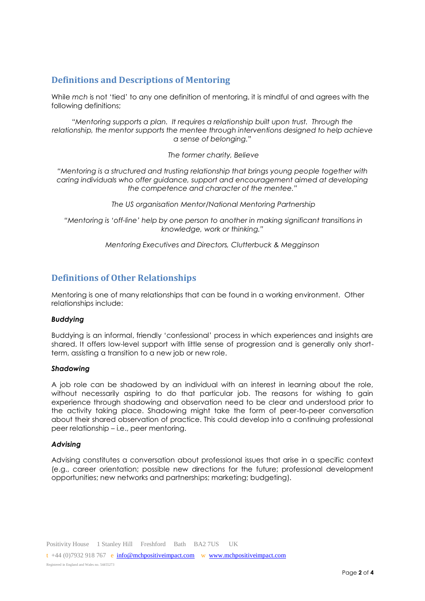## **Definitions and Descriptions of Mentoring**

While *mch* is not 'tied' to any one definition of mentoring, it is mindful of and agrees with the following definitions;

*"Mentoring supports a plan. It requires a relationship built upon trust. Through the relationship, the mentor supports the mentee through interventions designed to help achieve a sense of belonging."*

*The former charity, Believe*

*"Mentoring is a structured and trusting relationship that brings young people together with caring individuals who offer guidance, support and encouragement aimed at developing the competence and character of the mentee."*

*The US organisation Mentor/National Mentoring Partnership*

*"Mentoring is 'off-line' help by one person to another in making significant transitions in knowledge, work or thinking."* 

*Mentoring Executives and Directors, Clutterbuck & Megginson*

### **Definitions of Other Relationships**

Mentoring is one of many relationships that can be found in a working environment. Other relationships include:

#### *Buddying*

Buddying is an informal, friendly 'confessional' process in which experiences and insights are shared. It offers low-level support with little sense of progression and is generally only shortterm, assisting a transition to a new job or new role.

#### *Shadowing*

A job role can be shadowed by an individual with an interest in learning about the role, without necessarily aspiring to do that particular job. The reasons for wishing to gain experience through shadowing and observation need to be clear and understood prior to the activity taking place. Shadowing might take the form of peer-to-peer conversation about their shared observation of practice. This could develop into a continuing professional peer relationship – i.e., peer mentoring.

#### *Advising*

Advising constitutes a conversation about professional issues that arise in a specific context (e.g., career orientation; possible new directions for the future; professional development opportunities; new networks and partnerships; marketing; budgeting).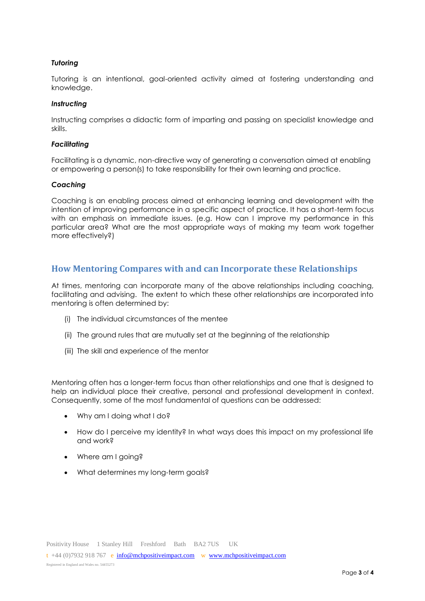#### *Tutoring*

Tutoring is an intentional, goal-oriented activity aimed at fostering understanding and knowledge.

#### *Instructing*

Instructing comprises a didactic form of imparting and passing on specialist knowledge and skills.

#### *Facilitating*

Facilitating is a dynamic, non-directive way of generating a conversation aimed at enabling or empowering a person(s) to take responsibility for their own learning and practice.

#### *Coaching*

Coaching is an enabling process aimed at enhancing learning and development with the intention of improving performance in a specific aspect of practice. It has a short-term focus with an emphasis on immediate issues. (e.g. How can I improve my performance in this particular area? What are the most appropriate ways of making my team work together more effectively?)

### **How Mentoring Compares with and can Incorporate these Relationships**

At times, mentoring can incorporate many of the above relationships including coaching, facilitating and advising. The extent to which these other relationships are incorporated into mentoring is often determined by:

- (i) The individual circumstances of the mentee
- (ii) The ground rules that are mutually set at the beginning of the relationship
- (iii) The skill and experience of the mentor

Mentoring often has a longer-term focus than other relationships and one that is designed to help an individual place their creative, personal and professional development in context. Consequently, some of the most fundamental of questions can be addressed:

- Why am I doing what I do?
- How do I perceive my identity? In what ways does this impact on my professional life and work?
- Where am I going?
- What determines my long-term goals?